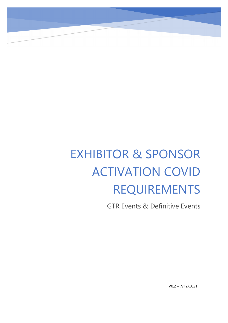# EXHIBITOR & SPONSOR ACTIVATION COVID REQUIREMENTS

GTR Events & Definitive Events

V0.2 – 7/12/2021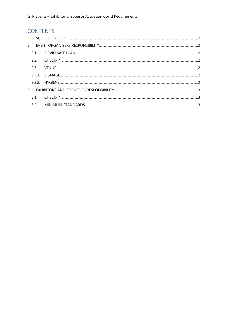# **CONTENTS**

|  | 2.2. |  |
|--|------|--|
|  | 2.3. |  |
|  |      |  |
|  |      |  |
|  |      |  |
|  |      |  |
|  |      |  |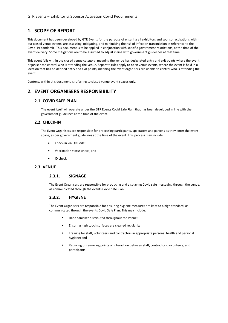# <span id="page-2-0"></span>**1. SCOPE OF REPORT**

This document has been developed by GTR Events for the purpose of ensuring all exhibitors and sponsor activations within our closed venue events, are assessing, mitigating, and minimising the risk of infection transmission in reference to the Covid-19 pandemic. This document is to be applied in conjunction with specific government restrictions, at the time of the event delivery. Some mitigations are to be assumed to adjust in line with government guidelines at that time.

This event falls within the closed venue category, meaning the venue has designated entry and exit points where the event organiser can control who is attending the venue. Separate rules apply to open venue events, where the event is held in a location that has no defined entry and exit points, meaning the event organisers are unable to control who is attending the event.

Contents within this document is referring to closed venue event spaces only.

## <span id="page-2-1"></span>**2. EVENT ORGANISERS RESPONSIBILITY**

#### <span id="page-2-2"></span>**2.1. COVID SAFE PLAN**

The event itself will operate under the GTR Events Covid Safe Plan, that has been developed in line with the government guidelines at the time of the event.

#### <span id="page-2-3"></span>**2.2. CHECK-IN**

The Event Organisers are responsible for processing participants, spectators and partons as they enter the event space, as per government guidelines at the time of the event. This process may include:

- Check-in via QR Code;
- Vaccination status check; and
- ID check

#### <span id="page-2-5"></span><span id="page-2-4"></span>**2.3. VENUE**

#### **2.3.1. SIGNAGE**

The Event Organisers are responsible for producing and displaying Covid safe messaging through the venue, as communicated through the events Covid Safe Plan.

#### <span id="page-2-6"></span>**2.3.2. HYGIENE**

The Event Organisers are responsible for ensuring hygiene measures are kept to a high standard, as communicated through the events Covid Safe Plan. This may include:

- Hand sanitiser distributed throughout the venue;
- Ensuring high touch surfaces are cleaned regularly;
- Training for staff, volunteers and contractors in appropriate personal health and personal hygiene; and
- Reducing or removing points of interaction between staff, contractors, volunteers, and participants.